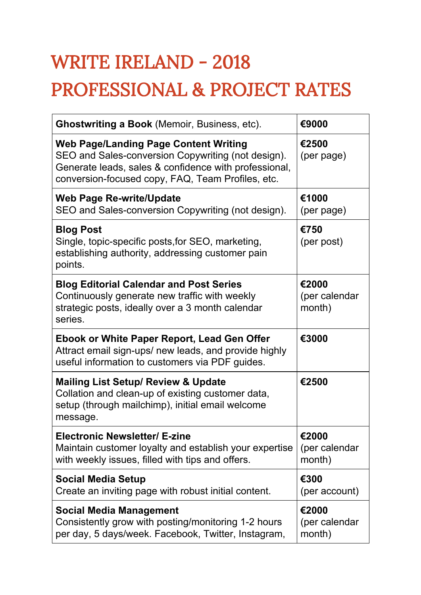## WRITE IRELAND - 2018 PROFESSIONAL & PROJECT RATES

| <b>Ghostwriting a Book</b> (Memoir, Business, etc).                                                                                                                                                              | €9000                            |
|------------------------------------------------------------------------------------------------------------------------------------------------------------------------------------------------------------------|----------------------------------|
| <b>Web Page/Landing Page Content Writing</b><br>SEO and Sales-conversion Copywriting (not design).<br>Generate leads, sales & confidence with professional,<br>conversion-focused copy, FAQ, Team Profiles, etc. | €2500<br>(per page)              |
| <b>Web Page Re-write/Update</b><br>SEO and Sales-conversion Copywriting (not design).                                                                                                                            | €1000<br>(per page)              |
| <b>Blog Post</b><br>Single, topic-specific posts, for SEO, marketing,<br>establishing authority, addressing customer pain<br>points.                                                                             | €750<br>(per post)               |
| <b>Blog Editorial Calendar and Post Series</b><br>Continuously generate new traffic with weekly<br>strategic posts, ideally over a 3 month calendar<br>series.                                                   | €2000<br>(per calendar<br>month) |
| <b>Ebook or White Paper Report, Lead Gen Offer</b><br>Attract email sign-ups/ new leads, and provide highly<br>useful information to customers via PDF guides.                                                   | €3000                            |
| <b>Mailing List Setup/ Review &amp; Update</b><br>Collation and clean-up of existing customer data,<br>setup (through mailchimp), initial email welcome<br>message.                                              | €2500                            |
| <b>Electronic Newsletter/ E-zine</b><br>Maintain customer loyalty and establish your expertise<br>with weekly issues, filled with tips and offers.                                                               | €2000<br>(per calendar<br>month) |
| <b>Social Media Setup</b><br>Create an inviting page with robust initial content.                                                                                                                                | €300<br>(per account)            |
| <b>Social Media Management</b><br>Consistently grow with posting/monitoring 1-2 hours<br>per day, 5 days/week. Facebook, Twitter, Instagram,                                                                     | €2000<br>(per calendar<br>month) |